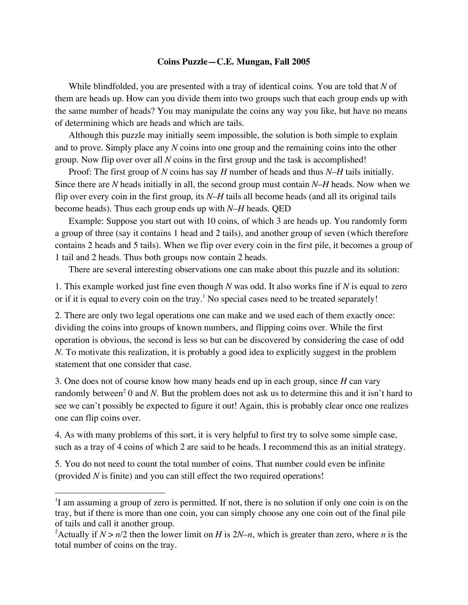## **Coins Puzzle—C.E. Mungan, Fall 2005**

While blindfolded, you are presented with a tray of identical coins. You are told that *N* of them are heads up. How can you divide them into two groups such that each group ends up with the same number of heads? You may manipulate the coins any way you like, but have no means of determining which are heads and which are tails.

Although this puzzle may initially seem impossible, the solution is both simple to explain and to prove. Simply place any *N* coins into one group and the remaining coins into the other group. Now flip over over all *N* coins in the first group and the task is accomplished!

Proof: The first group of *N* coins has say *H* number of heads and thus *N*–*H* tails initially. Since there are *N* heads initially in all, the second group must contain *N*–*H* heads. Now when we flip over every coin in the first group, its *N*–*H* tails all become heads (and all its original tails become heads). Thus each group ends up with *N*–*H* heads. QED

Example: Suppose you start out with 10 coins, of which 3 are heads up. You randomly form a group of three (say it contains 1 head and 2 tails), and another group of seven (which therefore contains 2 heads and 5 tails). When we flip over every coin in the first pile, it becomes a group of 1 tail and 2 heads. Thus both groups now contain 2 heads.

There are several interesting observations one can make about this puzzle and its solution:

1. This example worked just fine even though *N* was odd. It also works fine if *N* is equal to zero or if it is equal to every coin on the tray.<sup>1</sup> No special cases need to be treated separately!

2. There are only two legal operations one can make and we used each of them exactly once: dividing the coins into groups of known numbers, and flipping coins over. While the first operation is obvious, the second is less so but can be discovered by considering the case of odd *N*. To motivate this realization, it is probably a good idea to explicitly suggest in the problem statement that one consider that case.

3. One does not of course know how many heads end up in each group, since *H* can vary randomly between<sup>2</sup> 0 and *N*. But the problem does not ask us to determine this and it isn't hard to see we can't possibly be expected to figure it out! Again, this is probably clear once one realizes one can flip coins over.

4. As with many problems of this sort, it is very helpful to first try to solve some simple case, such as a tray of 4 coins of which 2 are said to be heads. I recommend this as an initial strategy.

5. You do not need to count the total number of coins. That number could even be infinite (provided *N* is finite) and you can still effect the two required operations!

 $\frac{1}{1}$ <sup>1</sup>I am assuming a group of zero is permitted. If not, there is no solution if only one coin is on the tray, but if there is more than one coin, you can simply choose any one coin out of the final pile of tails and call it another group.

<sup>&</sup>lt;sup>2</sup>Actually if  $N > n/2$  then the lower limit on *H* is  $2N-n$ , which is greater than zero, where *n* is the total number of coins on the tray.